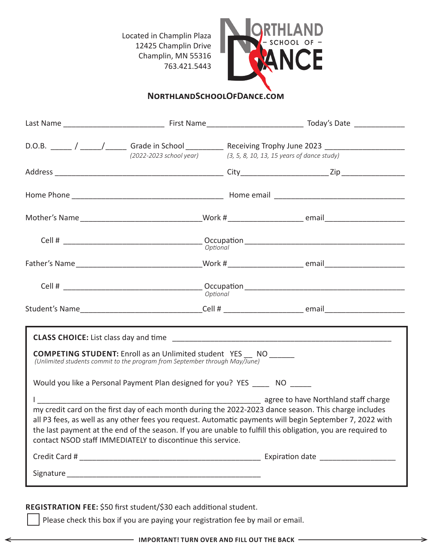Located in Champlin Plaza 12425 Champlin Drive Champlin, MN 55316 763.421.5443



## **NorthlandSchoolOfDance.com**

|                                                                                                                                                                                                                                                                                                                                                                                                                                                                                                                                                                                                                                                                        |                                                                                 |                                            | D.O.B. _____ / _____/ ______ Grade in School __________ Receiving Trophy June 2023 _________________           |  |  |  |
|------------------------------------------------------------------------------------------------------------------------------------------------------------------------------------------------------------------------------------------------------------------------------------------------------------------------------------------------------------------------------------------------------------------------------------------------------------------------------------------------------------------------------------------------------------------------------------------------------------------------------------------------------------------------|---------------------------------------------------------------------------------|--------------------------------------------|----------------------------------------------------------------------------------------------------------------|--|--|--|
|                                                                                                                                                                                                                                                                                                                                                                                                                                                                                                                                                                                                                                                                        | (2022-2023 school year)                                                         | (3, 5, 8, 10, 13, 15 years of dance study) |                                                                                                                |  |  |  |
|                                                                                                                                                                                                                                                                                                                                                                                                                                                                                                                                                                                                                                                                        |                                                                                 |                                            |                                                                                                                |  |  |  |
|                                                                                                                                                                                                                                                                                                                                                                                                                                                                                                                                                                                                                                                                        |                                                                                 |                                            |                                                                                                                |  |  |  |
|                                                                                                                                                                                                                                                                                                                                                                                                                                                                                                                                                                                                                                                                        |                                                                                 |                                            | Mother's Name ___________________________________Work #__________________________ email_______________________ |  |  |  |
|                                                                                                                                                                                                                                                                                                                                                                                                                                                                                                                                                                                                                                                                        |                                                                                 |                                            |                                                                                                                |  |  |  |
|                                                                                                                                                                                                                                                                                                                                                                                                                                                                                                                                                                                                                                                                        |                                                                                 |                                            |                                                                                                                |  |  |  |
|                                                                                                                                                                                                                                                                                                                                                                                                                                                                                                                                                                                                                                                                        |                                                                                 |                                            |                                                                                                                |  |  |  |
|                                                                                                                                                                                                                                                                                                                                                                                                                                                                                                                                                                                                                                                                        |                                                                                 |                                            | Student's Name___________________________________Cell # _________________________ email_______________________ |  |  |  |
| <b>COMPETING STUDENT:</b> Enroll as an Unlimited student YES __ NO ______<br>(Unlimited students commit to the program from September through May/June)<br>Would you like a Personal Payment Plan designed for you? YES NO<br>agree to have Northland staff charge<br>my credit card on the first day of each month during the 2022-2023 dance season. This charge includes<br>all P3 fees, as well as any other fees you request. Automatic payments will begin September 7, 2022 with<br>the last payment at the end of the season. If you are unable to fulfill this obligation, you are required to<br>contact NSOD staff IMMEDIATELY to discontinue this service. |                                                                                 |                                            |                                                                                                                |  |  |  |
|                                                                                                                                                                                                                                                                                                                                                                                                                                                                                                                                                                                                                                                                        |                                                                                 |                                            |                                                                                                                |  |  |  |
|                                                                                                                                                                                                                                                                                                                                                                                                                                                                                                                                                                                                                                                                        |                                                                                 |                                            |                                                                                                                |  |  |  |
|                                                                                                                                                                                                                                                                                                                                                                                                                                                                                                                                                                                                                                                                        |                                                                                 |                                            |                                                                                                                |  |  |  |
|                                                                                                                                                                                                                                                                                                                                                                                                                                                                                                                                                                                                                                                                        | REGISTRATION FEE: \$50 first student/\$30 each additional student.              |                                            |                                                                                                                |  |  |  |
|                                                                                                                                                                                                                                                                                                                                                                                                                                                                                                                                                                                                                                                                        | Please check this box if you are paying your registration fee by mail or email. |                                            |                                                                                                                |  |  |  |

⇒